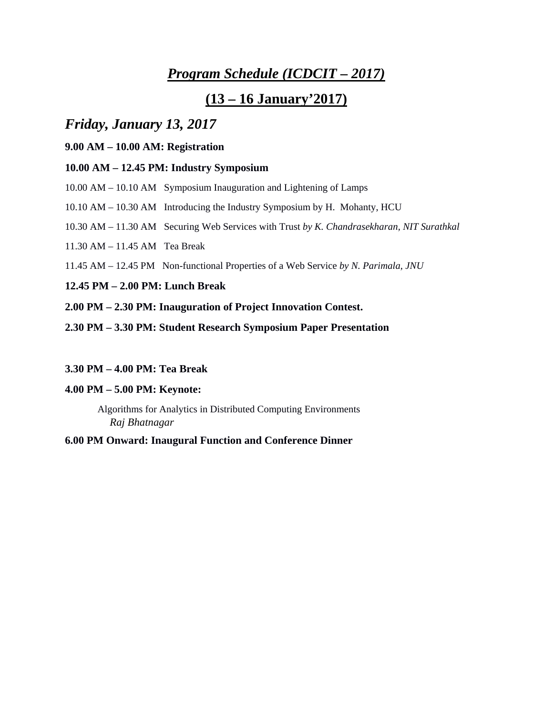# *Program Schedule (ICDCIT – 2017)*

# **(13 – 16 January'2017)**

# *Friday, January 13, 2017*

## **9.00 AM – 10.00 AM: Registration**

## **10.00 AM – 12.45 PM: Industry Symposium**

- 10.00 AM 10.10 AM Symposium Inauguration and Lightening of Lamps
- 10.10 AM 10.30 AM Introducing the Industry Symposium by H. Mohanty, HCU
- 10.30 AM 11.30 AM Securing Web Services with Trust *by K. Chandrasekharan, NIT Surathkal*
- 11.30 AM 11.45 AM Tea Break
- 11.45 AM 12.45 PM Non-functional Properties of a Web Service *by N. Parimala, JNU*

## **12.45 PM – 2.00 PM: Lunch Break**

- **2.00 PM – 2.30 PM: Inauguration of Project Innovation Contest.**
- **2.30 PM – 3.30 PM: Student Research Symposium Paper Presentation**

## **3.30 PM – 4.00 PM: Tea Break**

### **4.00 PM – 5.00 PM: Keynote:**

Algorithms for Analytics in Distributed Computing Environments *Raj Bhatnagar*

## **6.00 PM Onward: Inaugural Function and Conference Dinner**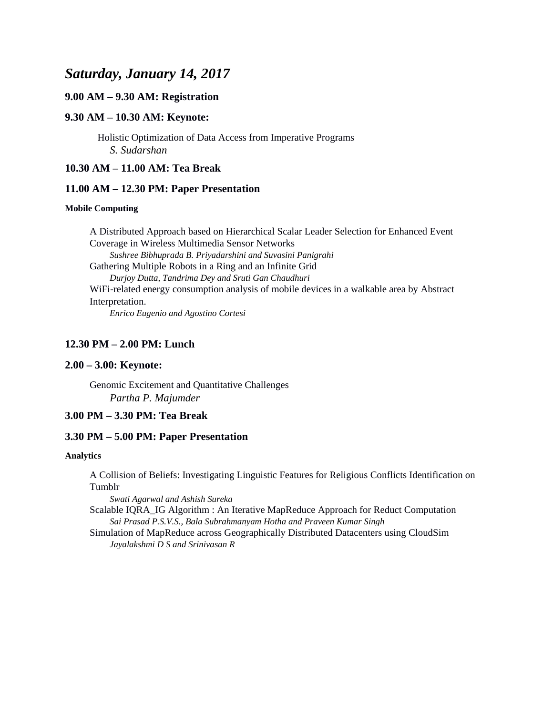# *Saturday, January 14, 2017*

## **9.00 AM – 9.30 AM: Registration**

### **9.30 AM – 10.30 AM: Keynote:**

Holistic Optimization of Data Access from Imperative Programs *S. Sudarshan*

## **10.30 AM – 11.00 AM: Tea Break**

#### **11.00 AM – 12.30 PM: Paper Presentation**

#### **Mobile Computing**

A Distributed Approach based on Hierarchical Scalar Leader Selection for Enhanced Event Coverage in Wireless Multimedia Sensor Networks *Sushree Bibhuprada B. Priyadarshini and Suvasini Panigrahi* Gathering Multiple Robots in a Ring and an Infinite Grid *Durjoy Dutta, Tandrima Dey and Sruti Gan Chaudhuri* WiFi-related energy consumption analysis of mobile devices in a walkable area by Abstract Interpretation. *Enrico Eugenio and Agostino Cortesi*

**12.30 PM – 2.00 PM: Lunch**

#### **2.00 – 3.00: Keynote:**

Genomic Excitement and Quantitative Challenges *Partha P. Majumder*

## **3.00 PM – 3.30 PM: Tea Break**

### **3.30 PM – 5.00 PM: Paper Presentation**

#### **Analytics**

A Collision of Beliefs: Investigating Linguistic Features for Religious Conflicts Identification on Tumblr

*Swati Agarwal and Ashish Sureka*

Scalable IQRA\_IG Algorithm : An Iterative MapReduce Approach for Reduct Computation *Sai Prasad P.S.V.S., Bala Subrahmanyam Hotha and Praveen Kumar Singh* 

Simulation of MapReduce across Geographically Distributed Datacenters using CloudSim *Jayalakshmi D S and Srinivasan R*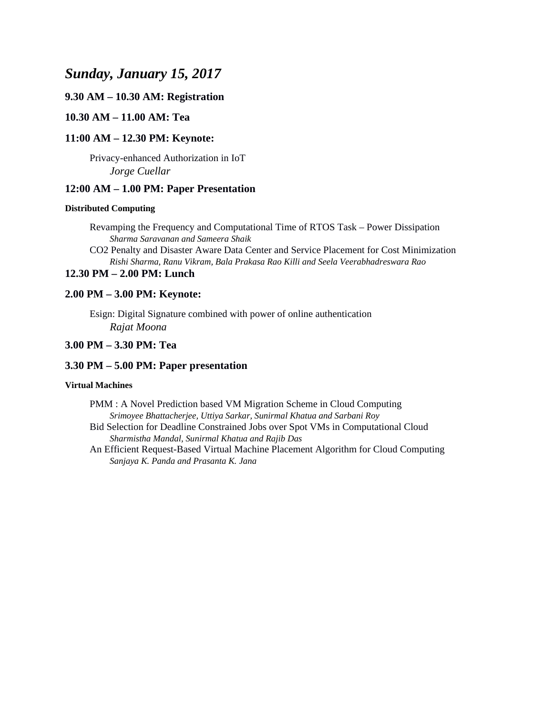# *Sunday, January 15, 2017*

## **9.30 AM – 10.30 AM: Registration**

## **10.30 AM – 11.00 AM: Tea**

#### **11:00 AM – 12.30 PM: Keynote:**

Privacy-enhanced Authorization in IoT *Jorge Cuellar*

### **12:00 AM – 1.00 PM: Paper Presentation**

#### **Distributed Computing**

Revamping the Frequency and Computational Time of RTOS Task – Power Dissipation *Sharma Saravanan and Sameera Shaik*

CO2 Penalty and Disaster Aware Data Center and Service Placement for Cost Minimization *Rishi Sharma, Ranu Vikram, Bala Prakasa Rao Killi and Seela Veerabhadreswara Rao*

## **12.30 PM – 2.00 PM: Lunch**

#### **2.00 PM – 3.00 PM: Keynote:**

Esign: Digital Signature combined with power of online authentication *Rajat Moona*

#### **3.00 PM – 3.30 PM: Tea**

### **3.30 PM – 5.00 PM: Paper presentation**

#### **Virtual Machines**

PMM : A Novel Prediction based VM Migration Scheme in Cloud Computing *Srimoyee Bhattacherjee, Uttiya Sarkar, Sunirmal Khatua and Sarbani Roy* Bid Selection for Deadline Constrained Jobs over Spot VMs in Computational Cloud *Sharmistha Mandal, Sunirmal Khatua and Rajib Das*

An Efficient Request-Based Virtual Machine Placement Algorithm for Cloud Computing *Sanjaya K. Panda and Prasanta K. Jana*